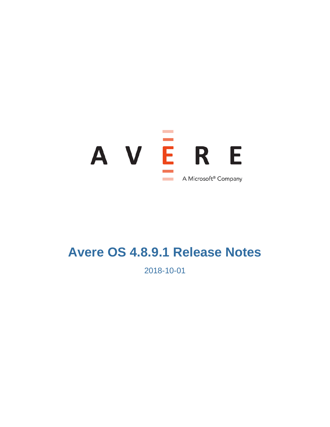

# **Avere OS 4.8.9.1 Release Notes**

2018-10-01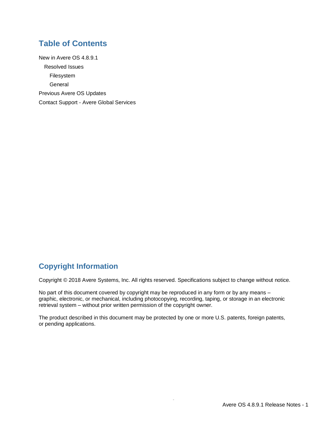### **Table of Contents**

[New in Avere OS 4.8.9.1](#page-2-0) [Resolved Issues](#page-2-1) [Filesystem](#page-2-2) **[General](#page-2-3)** [Previous Avere OS Updates](#page-2-4) Contact Support - [Avere Global Services](#page-2-5)

## **Copyright Information**

Copyright © 2018 Avere Systems, Inc. All rights reserved. Specifications subject to change without notice.

No part of this document covered by copyright may be reproduced in any form or by any means – graphic, electronic, or mechanical, including photocopying, recording, taping, or storage in an electronic retrieval system – without prior written permission of the copyright owner.

The product described in this document may be protected by one or more U.S. patents, foreign patents, or pending applications.